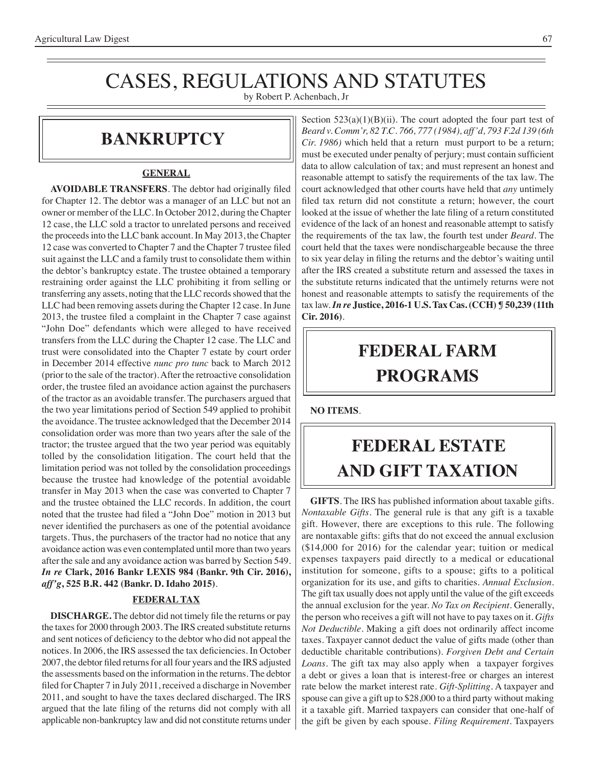# CASES, REGULATIONS AND STATUTES

by Robert P. Achenbach, Jr

### **bankruptcy**

#### **GENERAL**

**AVOIDABLE TRANSFERS**. The debtor had originally filed for Chapter 12. The debtor was a manager of an LLC but not an owner or member of the LLC. In October 2012, during the Chapter 12 case, the LLC sold a tractor to unrelated persons and received the proceeds into the LLC bank account. In May 2013, the Chapter 12 case was converted to Chapter 7 and the Chapter 7 trustee filed suit against the LLC and a family trust to consolidate them within the debtor's bankruptcy estate. The trustee obtained a temporary restraining order against the LLC prohibiting it from selling or transferring any assets, noting that the LLC records showed that the LLC had been removing assets during the Chapter 12 case. In June 2013, the trustee filed a complaint in the Chapter 7 case against "John Doe" defendants which were alleged to have received transfers from the LLC during the Chapter 12 case. The LLC and trust were consolidated into the Chapter 7 estate by court order in December 2014 effective *nunc pro tunc* back to March 2012 (prior to the sale of the tractor). After the retroactive consolidation order, the trustee filed an avoidance action against the purchasers of the tractor as an avoidable transfer. The purchasers argued that the two year limitations period of Section 549 applied to prohibit the avoidance. The trustee acknowledged that the December 2014 consolidation order was more than two years after the sale of the tractor; the trustee argued that the two year period was equitably tolled by the consolidation litigation. The court held that the limitation period was not tolled by the consolidation proceedings because the trustee had knowledge of the potential avoidable transfer in May 2013 when the case was converted to Chapter 7 and the trustee obtained the LLC records. In addition, the court noted that the trustee had filed a "John Doe" motion in 2013 but never identified the purchasers as one of the potential avoidance targets. Thus, the purchasers of the tractor had no notice that any avoidance action was even contemplated until more than two years after the sale and any avoidance action was barred by Section 549. *In re* **Clark, 2016 Bankr LEXIS 984 (Bankr. 9th Cir. 2016),**  *aff'g***, 525 B.R. 442 (Bankr. D. Idaho 2015)**.

### **FEDERAL TAX**

**DISCHARGE.** The debtor did not timely file the returns or pay the taxes for 2000 through 2003. The IRS created substitute returns and sent notices of deficiency to the debtor who did not appeal the notices. In 2006, the IRS assessed the tax deficiencies. In October 2007, the debtor filed returns for all four years and the IRS adjusted the assessments based on the information in the returns. The debtor filed for Chapter 7 in July 2011, received a discharge in November 2011, and sought to have the taxes declared discharged. The IRS argued that the late filing of the returns did not comply with all applicable non-bankruptcy law and did not constitute returns under

Section  $523(a)(1)(B)(ii)$ . The court adopted the four part test of *Beard v. Comm'r, 82 T.C. 766, 777 (1984), aff'd, 793 F.2d 139 (6th Cir. 1986)* which held that a return must purport to be a return; must be executed under penalty of perjury; must contain sufficient data to allow calculation of tax; and must represent an honest and reasonable attempt to satisfy the requirements of the tax law. The court acknowledged that other courts have held that *any* untimely filed tax return did not constitute a return; however, the court looked at the issue of whether the late filing of a return constituted evidence of the lack of an honest and reasonable attempt to satisfy the requirements of the tax law, the fourth test under *Beard*. The court held that the taxes were nondischargeable because the three to six year delay in filing the returns and the debtor's waiting until after the IRS created a substitute return and assessed the taxes in the substitute returns indicated that the untimely returns were not honest and reasonable attempts to satisfy the requirements of the tax law. *In re* **Justice, 2016-1 U.S. Tax Cas. (CCH) ¶ 50,239 (11th Cir. 2016)**.

# **federal FARM PROGRAMS**

**NO ITEMS**.

## **FEDERAL ESTATE AND GIFT taxation**

**GIFTS**. The IRS has published information about taxable gifts. *Nontaxable Gifts*. The general rule is that any gift is a taxable gift. However, there are exceptions to this rule. The following are nontaxable gifts: gifts that do not exceed the annual exclusion (\$14,000 for 2016) for the calendar year; tuition or medical expenses taxpayers paid directly to a medical or educational institution for someone, gifts to a spouse; gifts to a political organization for its use, and gifts to charities. *Annual Exclusion*. The gift tax usually does not apply until the value of the gift exceeds the annual exclusion for the year. *No Tax on Recipient*. Generally, the person who receives a gift will not have to pay taxes on it. *Gifts Not Deductible*. Making a gift does not ordinarily affect income taxes. Taxpayer cannot deduct the value of gifts made (other than deductible charitable contributions). *Forgiven Debt and Certain Loans*. The gift tax may also apply when a taxpayer forgives a debt or gives a loan that is interest-free or charges an interest rate below the market interest rate. *Gift-Splitting*. A taxpayer and spouse can give a gift up to \$28,000 to a third party without making it a taxable gift. Married taxpayers can consider that one-half of the gift be given by each spouse. *Filing Requirement*. Taxpayers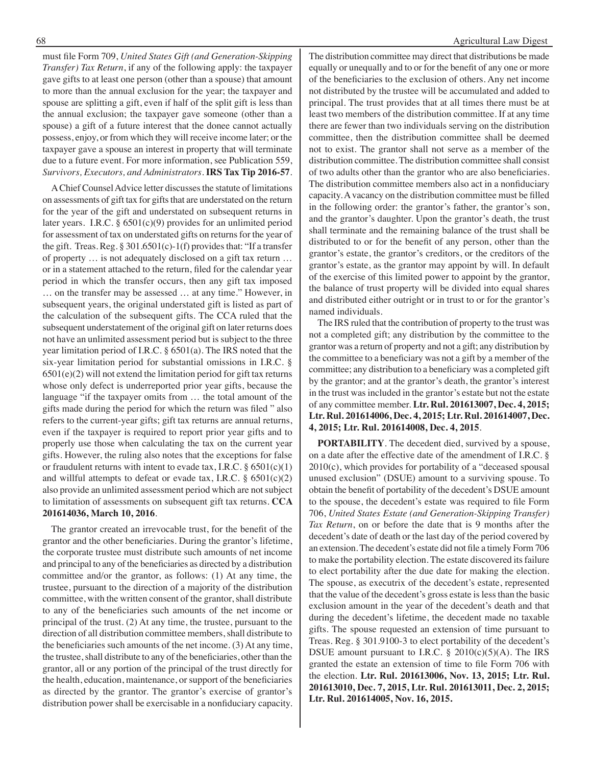must file Form 709, *United States Gift (and Generation-Skipping Transfer) Tax Return*, if any of the following apply: the taxpayer gave gifts to at least one person (other than a spouse) that amount to more than the annual exclusion for the year; the taxpayer and spouse are splitting a gift, even if half of the split gift is less than the annual exclusion; the taxpayer gave someone (other than a spouse) a gift of a future interest that the donee cannot actually possess, enjoy, or from which they will receive income later; or the taxpayer gave a spouse an interest in property that will terminate due to a future event. For more information, see Publication 559, *Survivors, Executors, and Administrators*. **IRS Tax Tip 2016-57**.

A Chief Counsel Advice letter discusses the statute of limitations on assessments of gift tax for gifts that are understated on the return for the year of the gift and understated on subsequent returns in later years. I.R.C. § 6501(c)(9) provides for an unlimited period for assessment of tax on understated gifts on returns for the year of the gift. Treas. Reg.  $\S 301.6501(c) - 1(f)$  provides that: "If a transfer of property … is not adequately disclosed on a gift tax return … or in a statement attached to the return, filed for the calendar year period in which the transfer occurs, then any gift tax imposed … on the transfer may be assessed … at any time." However, in subsequent years, the original understated gift is listed as part of the calculation of the subsequent gifts. The CCA ruled that the subsequent understatement of the original gift on later returns does not have an unlimited assessment period but is subject to the three year limitation period of I.R.C. § 6501(a). The IRS noted that the six-year limitation period for substantial omissions in I.R.C. §  $6501(e)(2)$  will not extend the limitation period for gift tax returns whose only defect is underreported prior year gifts, because the language "if the taxpayer omits from … the total amount of the gifts made during the period for which the return was filed " also refers to the current-year gifts; gift tax returns are annual returns, even if the taxpayer is required to report prior year gifts and to properly use those when calculating the tax on the current year gifts. However, the ruling also notes that the exceptions for false or fraudulent returns with intent to evade tax, I.R.C.  $\S 6501(c)(1)$ and willful attempts to defeat or evade tax, I.R.C.  $\S$  6501(c)(2) also provide an unlimited assessment period which are not subject to limitation of assessments on subsequent gift tax returns. **CCA 201614036, March 10, 2016**.

The grantor created an irrevocable trust, for the benefit of the grantor and the other beneficiaries. During the grantor's lifetime, the corporate trustee must distribute such amounts of net income and principal to any of the beneficiaries as directed by a distribution committee and/or the grantor, as follows: (1) At any time, the trustee, pursuant to the direction of a majority of the distribution committee, with the written consent of the grantor, shall distribute to any of the beneficiaries such amounts of the net income or principal of the trust. (2) At any time, the trustee, pursuant to the direction of all distribution committee members, shall distribute to the beneficiaries such amounts of the net income. (3) At any time, the trustee, shall distribute to any of the beneficiaries, other than the grantor, all or any portion of the principal of the trust directly for the health, education, maintenance, or support of the beneficiaries as directed by the grantor. The grantor's exercise of grantor's distribution power shall be exercisable in a nonfiduciary capacity.

The distribution committee may direct that distributions be made equally or unequally and to or for the benefit of any one or more of the beneficiaries to the exclusion of others. Any net income not distributed by the trustee will be accumulated and added to principal. The trust provides that at all times there must be at least two members of the distribution committee. If at any time there are fewer than two individuals serving on the distribution committee, then the distribution committee shall be deemed not to exist. The grantor shall not serve as a member of the distribution committee. The distribution committee shall consist of two adults other than the grantor who are also beneficiaries. The distribution committee members also act in a nonfiduciary capacity. A vacancy on the distribution committee must be filled in the following order: the grantor's father, the grantor's son, and the grantor's daughter. Upon the grantor's death, the trust shall terminate and the remaining balance of the trust shall be distributed to or for the benefit of any person, other than the grantor's estate, the grantor's creditors, or the creditors of the grantor's estate, as the grantor may appoint by will. In default of the exercise of this limited power to appoint by the grantor, the balance of trust property will be divided into equal shares and distributed either outright or in trust to or for the grantor's named individuals.

The IRS ruled that the contribution of property to the trust was not a completed gift; any distribution by the committee to the grantor was a return of property and not a gift; any distribution by the committee to a beneficiary was not a gift by a member of the committee; any distribution to a beneficiary was a completed gift by the grantor; and at the grantor's death, the grantor's interest in the trust was included in the grantor's estate but not the estate of any committee member. **Ltr. Rul. 201613007, Dec. 4, 2015; Ltr. Rul. 201614006, Dec. 4, 2015; Ltr. Rul. 201614007, Dec. 4, 2015; Ltr. Rul. 201614008, Dec. 4, 2015**.

**PORTABILITY**. The decedent died, survived by a spouse, on a date after the effective date of the amendment of I.R.C. § 2010(c), which provides for portability of a "deceased spousal unused exclusion" (DSUE) amount to a surviving spouse. To obtain the benefit of portability of the decedent's DSUE amount to the spouse, the decedent's estate was required to file Form 706, *United States Estate (and Generation-Skipping Transfer) Tax Return*, on or before the date that is 9 months after the decedent's date of death or the last day of the period covered by an extension. The decedent's estate did not file a timely Form 706 to make the portability election. The estate discovered its failure to elect portability after the due date for making the election. The spouse, as executrix of the decedent's estate, represented that the value of the decedent's gross estate is less than the basic exclusion amount in the year of the decedent's death and that during the decedent's lifetime, the decedent made no taxable gifts. The spouse requested an extension of time pursuant to Treas. Reg. § 301.9100-3 to elect portability of the decedent's DSUE amount pursuant to I.R.C.  $\S$  2010(c)(5)(A). The IRS granted the estate an extension of time to file Form 706 with the election. **Ltr. Rul. 201613006, Nov. 13, 2015; Ltr. Rul. 201613010, Dec. 7, 2015, Ltr. Rul. 201613011, Dec. 2, 2015; Ltr. Rul. 201614005, Nov. 16, 2015.**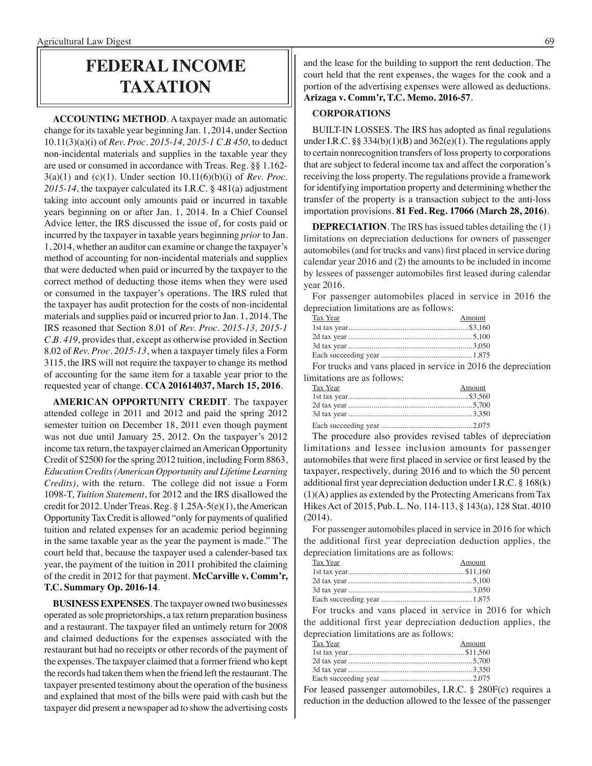### **federal income taxation**

**ACCOUNTING METHOD**. A taxpayer made an automatic change for its taxable year beginning Jan. 1, 2014, under Section 10.11(3)(a)(i) of *Rev. Proc. 2015-14, 2015-1 C.B 450,* to deduct non-incidental materials and supplies in the taxable year they are used or consumed in accordance with Treas. Reg. §§ 1.162- 3(a)(1) and (c)(1). Under section 10.11(6)(b)(i) of *Rev. Proc. 2015-14*, the taxpayer calculated its I.R.C. § 481(a) adjustment taking into account only amounts paid or incurred in taxable years beginning on or after Jan. 1, 2014. In a Chief Counsel Advice letter, the IRS discussed the issue of, for costs paid or incurred by the taxpayer in taxable years beginning *prior* to Jan. 1, 2014, whether an auditor can examine or change the taxpayer's method of accounting for non-incidental materials and supplies that were deducted when paid or incurred by the taxpayer to the correct method of deducting those items when they were used or consumed in the taxpayer's operations. The IRS ruled that the taxpayer has audit protection for the costs of non-incidental materials and supplies paid or incurred prior to Jan. 1, 2014. The IRS reasoned that Section 8.01 of *Rev. Proc. 2015-13, 2015-1 C.B. 419*, provides that, except as otherwise provided in Section 8.02 of *Rev. Proc. 2015-13*, when a taxpayer timely files a Form 3115, the IRS will not require the taxpayer to change its method of accounting for the same item for a taxable year prior to the requested year of change. **CCA 201614037, March 15, 2016**.

**AMERICAN OPPORTUNITY CREDIT**. The taxpayer attended college in 2011 and 2012 and paid the spring 2012 semester tuition on December 18, 2011 even though payment was not due until January 25, 2012. On the taxpayer's 2012 income tax return, the taxpayer claimed an American Opportunity Credit of \$2500 for the spring 2012 tuition, including Form 8863, *Education Credits (American Opportunity and Lifetime Learning Credits)*, with the return. The college did not issue a Form 1098-T, *Tuition Statement*, for 2012 and the IRS disallowed the credit for 2012. Under Treas. Reg. § 1.25A-5(e)(1), the American Opportunity Tax Credit is allowed "only for payments of qualified tuition and related expenses for an academic period beginning in the same taxable year as the year the payment is made." The court held that, because the taxpayer used a calender-based tax year, the payment of the tuition in 2011 prohibited the claiming of the credit in 2012 for that payment. **McCarville v. Comm'r, T.C. Summary Op. 2016-14**.

**BUSINESS EXPENSES**. The taxpayer owned two businesses operated as sole proprietorships, a tax return preparation business and a restaurant. The taxpayer filed an untimely return for 2008 and claimed deductions for the expenses associated with the restaurant but had no receipts or other records of the payment of the expenses. The taxpayer claimed that a former friend who kept the records had taken them when the friend left the restaurant. The taxpayer presented testimony about the operation of the business and explained that most of the bills were paid with cash but the taxpayer did present a newspaper ad to show the advertising costs

and the lease for the building to support the rent deduction. The court held that the rent expenses, the wages for the cook and a portion of the advertising expenses were allowed as deductions. **Arizaga v. Comm'r, T.C. Memo. 2016-57**.

#### **CORPORATIONS**

BUILT-IN LOSSES. The IRS has adopted as final regulations under I.R.C.  $\S § 334(b)(1)(B)$  and  $362(e)(1)$ . The regulations apply to certain nonrecognition transfers of loss property to corporations that are subject to federal income tax and affect the corporation's receiving the loss property. The regulations provide a framework for identifying importation property and determining whether the transfer of the property is a transaction subject to the anti-loss importation provisions. **81 Fed. Reg. 17066 (March 28, 2016)**.

**DEPRECIATION**. The IRS has issued tables detailing the (1) limitations on depreciation deductions for owners of passenger automobiles (and for trucks and vans) first placed in service during calendar year 2016 and (2) the amounts to be included in income by lessees of passenger automobiles first leased during calendar year 2016.

For passenger automobiles placed in service in 2016 the depreciation limitations are as follows:

| Tax Year | Amount |
|----------|--------|
|          |        |
|          |        |
|          |        |
|          |        |
|          |        |

For trucks and vans placed in service in 2016 the depreciation limitations are as follows:

| Tax Year | Amount |
|----------|--------|
|          |        |
|          |        |
|          |        |
|          |        |

The procedure also provides revised tables of depreciation limitations and lessee inclusion amounts for passenger automobiles that were first placed in service or first leased by the taxpayer, respectively, during 2016 and to which the 50 percent additional first year depreciation deduction under I.R.C. § 168(k) (1)(A) applies as extended by the Protecting Americans from Tax Hikes Act of 2015, Pub. L. No. 114-113, § 143(a), 128 Stat. 4010 (2014).

For passenger automobiles placed in service in 2016 for which the additional first year depreciation deduction applies, the depreciation limitations are as follows:

| Tax Year | Amount |
|----------|--------|
|          |        |
|          |        |
|          |        |
|          |        |

For trucks and vans placed in service in 2016 for which the additional first year depreciation deduction applies, the depreciation limitations are as follows:

| Tax Year | Amount |
|----------|--------|
|          |        |
|          |        |
|          |        |
|          |        |

For leased passenger automobiles, I.R.C. § 280F(c) requires a reduction in the deduction allowed to the lessee of the passenger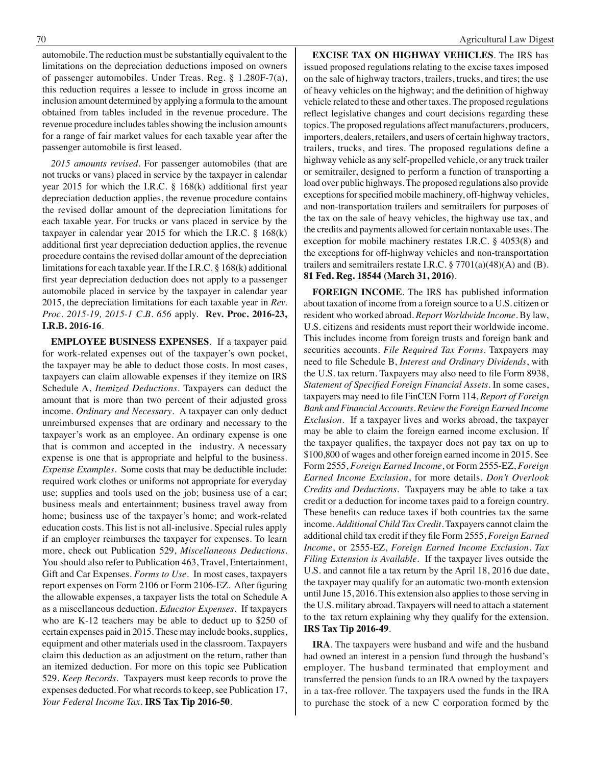automobile. The reduction must be substantially equivalent to the limitations on the depreciation deductions imposed on owners of passenger automobiles. Under Treas. Reg. § 1.280F-7(a), this reduction requires a lessee to include in gross income an inclusion amount determined by applying a formula to the amount obtained from tables included in the revenue procedure. The revenue procedure includes tables showing the inclusion amounts for a range of fair market values for each taxable year after the passenger automobile is first leased.

*2015 amounts revised*. For passenger automobiles (that are not trucks or vans) placed in service by the taxpayer in calendar year 2015 for which the I.R.C. § 168(k) additional first year depreciation deduction applies, the revenue procedure contains the revised dollar amount of the depreciation limitations for each taxable year. For trucks or vans placed in service by the taxpayer in calendar year 2015 for which the I.R.C. § 168(k) additional first year depreciation deduction applies, the revenue procedure contains the revised dollar amount of the depreciation limitations for each taxable year. If the I.R.C. § 168(k) additional first year depreciation deduction does not apply to a passenger automobile placed in service by the taxpayer in calendar year 2015, the depreciation limitations for each taxable year in *Rev. Proc. 2015-19, 2015-1 C.B. 656* apply. **Rev. Proc. 2016-23, I.R.B. 2016-16**.

**EMPLOYEE BUSINESS EXPENSES**. If a taxpayer paid for work-related expenses out of the taxpayer's own pocket, the taxpayer may be able to deduct those costs. In most cases, taxpayers can claim allowable expenses if they itemize on IRS Schedule A, *Itemized Deductions*. Taxpayers can deduct the amount that is more than two percent of their adjusted gross income. *Ordinary and Necessary*. A taxpayer can only deduct unreimbursed expenses that are ordinary and necessary to the taxpayer's work as an employee. An ordinary expense is one that is common and accepted in the industry. A necessary expense is one that is appropriate and helpful to the business. *Expense Examples*. Some costs that may be deductible include: required work clothes or uniforms not appropriate for everyday use; supplies and tools used on the job; business use of a car; business meals and entertainment; business travel away from home; business use of the taxpayer's home; and work-related education costs. This list is not all-inclusive. Special rules apply if an employer reimburses the taxpayer for expenses. To learn more, check out Publication 529, *Miscellaneous Deductions*. You should also refer to Publication 463, Travel, Entertainment, Gift and Car Expenses. *Forms to Use*. In most cases, taxpayers report expenses on Form 2106 or Form 2106-EZ. After figuring the allowable expenses, a taxpayer lists the total on Schedule A as a miscellaneous deduction. *Educator Expenses*. If taxpayers who are K-12 teachers may be able to deduct up to \$250 of certain expenses paid in 2015. These may include books, supplies, equipment and other materials used in the classroom. Taxpayers claim this deduction as an adjustment on the return, rather than an itemized deduction. For more on this topic see Publication 529. *Keep Records*. Taxpayers must keep records to prove the expenses deducted. For what records to keep, see Publication 17, *Your Federal Income Tax*. **IRS Tax Tip 2016-50**.

**EXCISE TAX ON HIGHWAY VEHICLES**. The IRS has issued proposed regulations relating to the excise taxes imposed on the sale of highway tractors, trailers, trucks, and tires; the use of heavy vehicles on the highway; and the definition of highway vehicle related to these and other taxes. The proposed regulations reflect legislative changes and court decisions regarding these topics. The proposed regulations affect manufacturers, producers, importers, dealers, retailers, and users of certain highway tractors, trailers, trucks, and tires. The proposed regulations define a highway vehicle as any self-propelled vehicle, or any truck trailer or semitrailer, designed to perform a function of transporting a load over public highways. The proposed regulations also provide exceptions for specified mobile machinery, off-highway vehicles, and non-transportation trailers and semitrailers for purposes of the tax on the sale of heavy vehicles, the highway use tax, and the credits and payments allowed for certain nontaxable uses. The exception for mobile machinery restates I.R.C. § 4053(8) and the exceptions for off-highway vehicles and non-transportation trailers and semitrailers restate I.R.C.  $\S 7701(a)(48)(A)$  and (B). **81 Fed. Reg. 18544 (March 31, 2016)**.

**FOREIGN INCOME**. The IRS has published information about taxation of income from a foreign source to a U.S. citizen or resident who worked abroad. *Report Worldwide Income*. By law, U.S. citizens and residents must report their worldwide income. This includes income from foreign trusts and foreign bank and securities accounts. *File Required Tax Forms*. Taxpayers may need to file Schedule B, *Interest and Ordinary Dividends*, with the U.S. tax return. Taxpayers may also need to file Form 8938, *Statement of Specified Foreign Financial Assets*. In some cases, taxpayers may need to file FinCEN Form 114, *Report of Foreign Bank and Financial Accounts*. *Review the Foreign Earned Income Exclusion.* If a taxpayer lives and works abroad, the taxpayer may be able to claim the foreign earned income exclusion. If the taxpayer qualifies, the taxpayer does not pay tax on up to \$100,800 of wages and other foreign earned income in 2015. See Form 2555, *Foreign Earned Income*, or Form 2555-EZ, *Foreign Earned Income Exclusion*, for more details. *Don't Overlook Credits and Deductions*. Taxpayers may be able to take a tax credit or a deduction for income taxes paid to a foreign country. These benefits can reduce taxes if both countries tax the same income. *Additional Child Tax Credit*. Taxpayers cannot claim the additional child tax credit if they file Form 2555, *Foreign Earned Income*, or 2555-EZ, *Foreign Earned Income Exclusion*. *Tax Filing Extension is Available*. If the taxpayer lives outside the U.S. and cannot file a tax return by the April 18, 2016 due date, the taxpayer may qualify for an automatic two-month extension until June 15, 2016. This extension also applies to those serving in the U.S. military abroad. Taxpayers will need to attach a statement to the tax return explaining why they qualify for the extension. **IRS Tax Tip 2016-49**.

**IRA**. The taxpayers were husband and wife and the husband had owned an interest in a pension fund through the husband's employer. The husband terminated that employment and transferred the pension funds to an IRA owned by the taxpayers in a tax-free rollover. The taxpayers used the funds in the IRA to purchase the stock of a new C corporation formed by the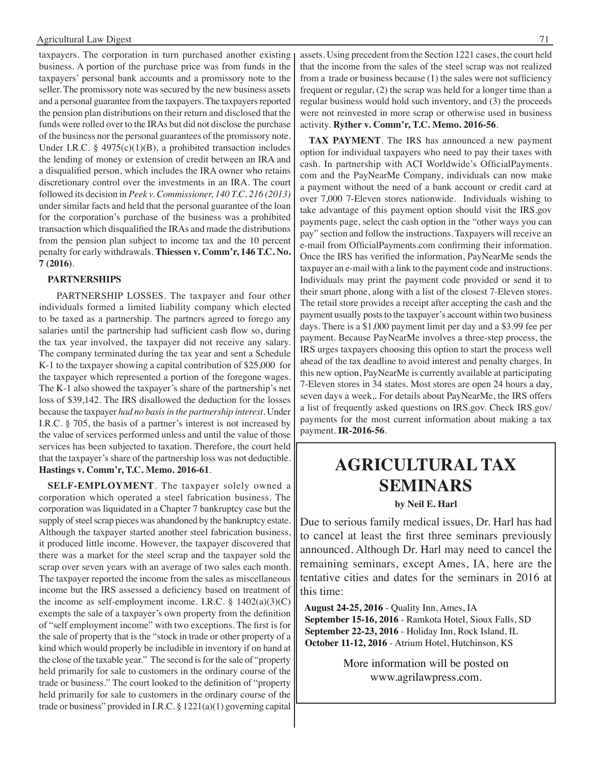taxpayers. The corporation in turn purchased another existing business. A portion of the purchase price was from funds in the taxpayers' personal bank accounts and a promissory note to the seller. The promissory note was secured by the new business assets and a personal guarantee from the taxpayers. The taxpayers reported the pension plan distributions on their return and disclosed that the funds were rolled over to the IRAs but did not disclose the purchase of the business nor the personal guarantees of the promissory note. Under I.R.C. § 4975(c)(1)(B), a prohibited transaction includes the lending of money or extension of credit between an IRA and a disqualified person, which includes the IRA owner who retains discretionary control over the investments in an IRA. The court followed its decision in *Peek v. Commissioner, 140 T.C. 216 (2013)*  under similar facts and held that the personal guarantee of the loan for the corporation's purchase of the business was a prohibited transaction which disqualified the IRAs and made the distributions from the pension plan subject to income tax and the 10 percent penalty for early withdrawals. **Thiessen v. Comm'r, 146 T.C. No. 7 (2016)**.

#### **PARTNERSHIPS**

 PARTNERSHIP LOSSES. The taxpayer and four other individuals formed a limited liability company which elected to be taxed as a partnership. The partners agreed to forego any salaries until the partnership had sufficient cash flow so, during the tax year involved, the taxpayer did not receive any salary. The company terminated during the tax year and sent a Schedule K-1 to the taxpayer showing a capital contribution of \$25,000 for the taxpayer which represented a portion of the foregone wages. The K-1 also showed the taxpayer's share of the partnership's net loss of \$39,142. The IRS disallowed the deduction for the losses because the taxpayer *had no basis in the partnership interest*. Under I.R.C. § 705, the basis of a partner's interest is not increased by the value of services performed unless and until the value of those services has been subjected to taxation. Therefore, the court held that the taxpayer's share of the partnership loss was not deductible. **Hastings v. Comm'r, T.C. Memo. 2016-61**.

**SELF-EMPLOYMENT**. The taxpayer solely owned a corporation which operated a steel fabrication business. The corporation was liquidated in a Chapter 7 bankruptcy case but the supply of steel scrap pieces was abandoned by the bankruptcy estate. Although the taxpayer started another steel fabrication business, it produced little income. However, the taxpayer discovered that there was a market for the steel scrap and the taxpayer sold the scrap over seven years with an average of two sales each month. The taxpayer reported the income from the sales as miscellaneous income but the IRS assessed a deficiency based on treatment of the income as self-employment income. I.R.C.  $\S$  1402(a)(3)(C) exempts the sale of a taxpayer's own property from the definition of "self employment income" with two exceptions. The first is for the sale of property that is the "stock in trade or other property of a kind which would properly be includible in inventory if on hand at the close of the taxable year." The second is for the sale of "property held primarily for sale to customers in the ordinary course of the trade or business." The court looked to the definition of "property held primarily for sale to customers in the ordinary course of the trade or business" provided in I.R.C. § 1221(a)(1) governing capital

assets. Using precedent from the Section 1221 cases, the court held that the income from the sales of the steel scrap was not realized from a trade or business because (1) the sales were not sufficiency frequent or regular, (2) the scrap was held for a longer time than a regular business would hold such inventory, and (3) the proceeds were not reinvested in more scrap or otherwise used in business activity. **Ryther v. Comm'r, T.C. Memo. 2016-56**.

**TAX PAYMENT**. The IRS has announced a new payment option for individual taxpayers who need to pay their taxes with cash. In partnership with ACI Worldwide's OfficialPayments. com and the PayNearMe Company, individuals can now make a payment without the need of a bank account or credit card at over 7,000 7-Eleven stores nationwide. Individuals wishing to take advantage of this payment option should visit the IRS.gov payments page, select the cash option in the "other ways you can pay" section and follow the instructions. Taxpayers will receive an e-mail from OfficialPayments.com confirming their information. Once the IRS has verified the information, PayNearMe sends the taxpayer an e-mail with a link to the payment code and instructions. Individuals may print the payment code provided or send it to their smart phone, along with a list of the closest 7-Eleven stores. The retail store provides a receipt after accepting the cash and the payment usually posts to the taxpayer's account within two business days. There is a \$1,000 payment limit per day and a \$3.99 fee per payment. Because PayNearMe involves a three-step process, the IRS urges taxpayers choosing this option to start the process well ahead of the tax deadline to avoid interest and penalty charges. In this new option, PayNearMe is currently available at participating 7-Eleven stores in 34 states. Most stores are open 24 hours a day, seven days a week,. For details about PayNearMe, the IRS offers a list of frequently asked questions on IRS.gov. Check IRS.gov/ payments for the most current information about making a tax payment. **IR-2016-56**.

### **Agricultural tax seminars**

**by Neil E. Harl**

Due to serious family medical issues, Dr. Harl has had to cancel at least the first three seminars previously announced. Although Dr. Harl may need to cancel the remaining seminars, except Ames, IA, here are the tentative cities and dates for the seminars in 2016 at this time:

 **August 24-25, 2016** - Quality Inn, Ames, IA  **September 15-16, 2016** - Ramkota Hotel, Sioux Falls, SD  **September 22-23, 2016** - Holiday Inn, Rock Island, IL  **October 11-12, 2016** - Atrium Hotel, Hutchinson, KS

> More information will be posted on www.agrilawpress.com.